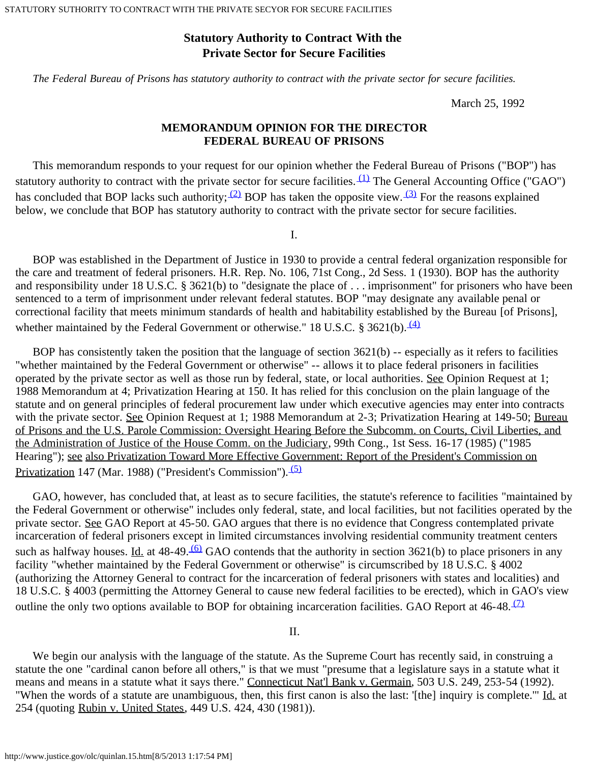# **Statutory Authority to Contract With the Private Sector for Secure Facilities**

 *The Federal Bureau of Prisons has statutory authority to contract with the private sector for secure facilities.*

March 25, 1992

## **MEMORANDUM OPINION FOR THE DIRECTOR FEDERAL BUREAU OF PRISONS**

 This memorandum responds to your request for our opinion whether the Federal Bureau of Prisons ("BOP") has statutory authority to contract with the private sector for secure facilities.  $(1)$  The General Accounting Office ("GAO") has concluded that BOP lacks such authority;  $\frac{2}{2}$  BOP has taken the opposite view.  $\frac{3}{2}$  For the reasons explained below, we conclude that BOP has statutory authority to contract with the private sector for secure facilities.

I.

 BOP was established in the Department of Justice in 1930 to provide a central federal organization responsible for the care and treatment of federal prisoners. H.R. Rep. No. 106, 71st Cong., 2d Sess. 1 (1930). BOP has the authority and responsibility under 18 U.S.C. § 3621(b) to "designate the place of . . . imprisonment" for prisoners who have been sentenced to a term of imprisonment under relevant federal statutes. BOP "may designate any available penal or correctional facility that meets minimum standards of health and habitability established by the Bureau [of Prisons], whether maintained by the Federal Government or otherwise." 18 U.S.C. § 3621(b).  $\frac{(4)}{4}$ 

BOP has consistently taken the position that the language of section  $3621(b)$  -- especially as it refers to facilities "whether maintained by the Federal Government or otherwise" -- allows it to place federal prisoners in facilities operated by the private sector as well as those run by federal, state, or local authorities. See Opinion Request at 1; 1988 Memorandum at 4; Privatization Hearing at 150. It has relied for this conclusion on the plain language of the statute and on general principles of federal procurement law under which executive agencies may enter into contracts with the private sector. See Opinion Request at 1; 1988 Memorandum at 2-3; Privatization Hearing at 149-50; Bureau of Prisons and the U.S. Parole Commission: Oversight Hearing Before the Subcomm. on Courts, Civil Liberties, and the Administration of Justice of the House Comm. on the Judiciary, 99th Cong., 1st Sess. 16-17 (1985) ("1985 Hearing"); see also Privatization Toward More Effective Government: Report of the President's Commission on Privatization 147 (Mar. 1988) ("President's Commission"). <sup>(5)</sup>

 GAO, however, has concluded that, at least as to secure facilities, the statute's reference to facilities "maintained by the Federal Government or otherwise" includes only federal, state, and local facilities, but not facilities operated by the private sector. See GAO Report at 45-50. GAO argues that there is no evidence that Congress contemplated private incarceration of federal prisoners except in limited circumstances involving residential community treatment centers such as halfway houses. <u>Id.</u> at 48-49. <sup>(6)</sup> GAO contends that the authority in section 3621(b) to place prisoners in any facility "whether maintained by the Federal Government or otherwise" is circumscribed by 18 U.S.C. § 4002 (authorizing the Attorney General to contract for the incarceration of federal prisoners with states and localities) and 18 U.S.C. § 4003 (permitting the Attorney General to cause new federal facilities to be erected), which in GAO's view outline the only two options available to BOP for obtaining incarceration facilities. GAO Report at  $46-48.\frac{(7)}{2}$ 

II.

We begin our analysis with the language of the statute. As the Supreme Court has recently said, in construing a statute the one "cardinal canon before all others," is that we must "presume that a legislature says in a statute what it means and means in a statute what it says there." Connecticut Nat'l Bank v. Germain, 503 U.S. 249, 253-54 (1992). "When the words of a statute are unambiguous, then, this first canon is also the last: '[the] inquiry is complete.'" Id. at 254 (quoting Rubin v. United States, 449 U.S. 424, 430 (1981)).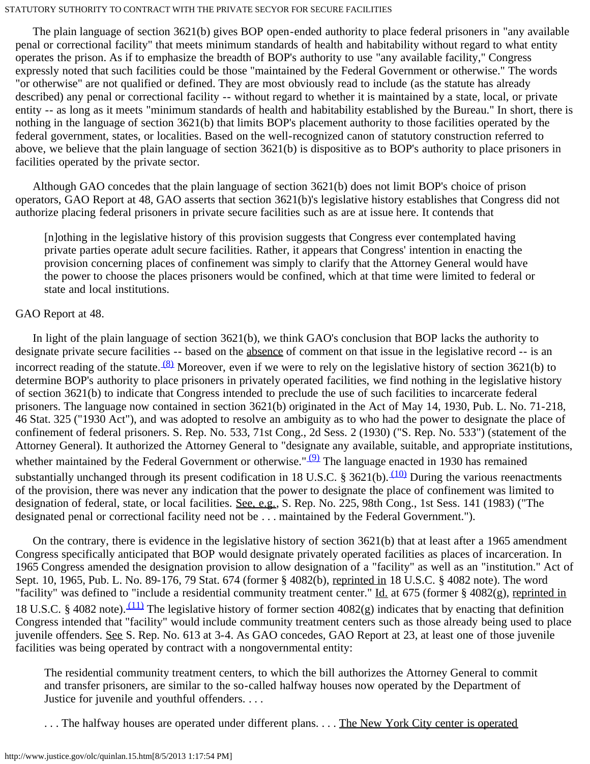The plain language of section 3621(b) gives BOP open-ended authority to place federal prisoners in "any available penal or correctional facility" that meets minimum standards of health and habitability without regard to what entity operates the prison. As if to emphasize the breadth of BOP's authority to use "any available facility," Congress expressly noted that such facilities could be those "maintained by the Federal Government or otherwise." The words "or otherwise" are not qualified or defined. They are most obviously read to include (as the statute has already described) any penal or correctional facility -- without regard to whether it is maintained by a state, local, or private entity -- as long as it meets "minimum standards of health and habitability established by the Bureau." In short, there is nothing in the language of section 3621(b) that limits BOP's placement authority to those facilities operated by the federal government, states, or localities. Based on the well-recognized canon of statutory construction referred to above, we believe that the plain language of section 3621(b) is dispositive as to BOP's authority to place prisoners in facilities operated by the private sector.

 Although GAO concedes that the plain language of section 3621(b) does not limit BOP's choice of prison operators, GAO Report at 48, GAO asserts that section 3621(b)'s legislative history establishes that Congress did not authorize placing federal prisoners in private secure facilities such as are at issue here. It contends that

[n]othing in the legislative history of this provision suggests that Congress ever contemplated having private parties operate adult secure facilities. Rather, it appears that Congress' intention in enacting the provision concerning places of confinement was simply to clarify that the Attorney General would have the power to choose the places prisoners would be confined, which at that time were limited to federal or state and local institutions.

# GAO Report at 48.

 In light of the plain language of section 3621(b), we think GAO's conclusion that BOP lacks the authority to designate private secure facilities -- based on the absence of comment on that issue in the legislative record -- is an incorrect reading of the statute.  $(8)$  Moreover, even if we were to rely on the legislative history of section 3621(b) to determine BOP's authority to place prisoners in privately operated facilities, we find nothing in the legislative history of section 3621(b) to indicate that Congress intended to preclude the use of such facilities to incarcerate federal prisoners. The language now contained in section 3621(b) originated in the Act of May 14, 1930, Pub. L. No. 71-218, 46 Stat. 325 ("1930 Act"), and was adopted to resolve an ambiguity as to who had the power to designate the place of confinement of federal prisoners. S. Rep. No. 533, 71st Cong., 2d Sess. 2 (1930) ("S. Rep. No. 533") (statement of the Attorney General). It authorized the Attorney General to "designate any available, suitable, and appropriate institutions, whether maintained by the Federal Government or otherwise." $(9)$  The language enacted in 1930 has remained substantially unchanged through its present codification in 18 U.S.C. § 3621(b).  $(10)$  During the various reenactments of the provision, there was never any indication that the power to designate the place of confinement was limited to designation of federal, state, or local facilities. See, e.g., S. Rep. No. 225, 98th Cong., 1st Sess. 141 (1983) ("The designated penal or correctional facility need not be . . . maintained by the Federal Government.").

 On the contrary, there is evidence in the legislative history of section 3621(b) that at least after a 1965 amendment Congress specifically anticipated that BOP would designate privately operated facilities as places of incarceration. In 1965 Congress amended the designation provision to allow designation of a "facility" as well as an "institution." Act of Sept. 10, 1965, Pub. L. No. 89-176, 79 Stat. 674 (former § 4082(b), reprinted in 18 U.S.C. § 4082 note). The word "facility" was defined to "include a residential community treatment center." Id. at 675 (former § 4082(g), reprinted in 18 U.S.C. § 4082 note).  $(11)$  The legislative history of former section 4082(g) indicates that by enacting that definition Congress intended that "facility" would include community treatment centers such as those already being used to place juvenile offenders. See S. Rep. No. 613 at 3-4. As GAO concedes, GAO Report at 23, at least one of those juvenile facilities was being operated by contract with a nongovernmental entity:

The residential community treatment centers, to which the bill authorizes the Attorney General to commit and transfer prisoners, are similar to the so-called halfway houses now operated by the Department of Justice for juvenile and youthful offenders. . . .

. . . The halfway houses are operated under different plans. . . . The New York City center is operated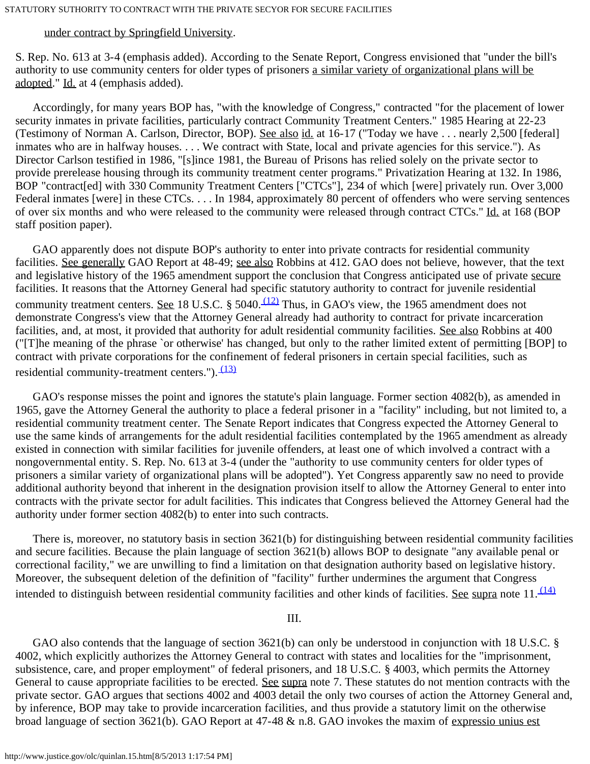### under contract by Springfield University.

S. Rep. No. 613 at 3-4 (emphasis added). According to the Senate Report, Congress envisioned that "under the bill's authority to use community centers for older types of prisoners a similar variety of organizational plans will be adopted." Id. at 4 (emphasis added).

 Accordingly, for many years BOP has, "with the knowledge of Congress," contracted "for the placement of lower security inmates in private facilities, particularly contract Community Treatment Centers." 1985 Hearing at 22-23 (Testimony of Norman A. Carlson, Director, BOP). See also id. at 16-17 ("Today we have . . . nearly 2,500 [federal] inmates who are in halfway houses. . . . We contract with State, local and private agencies for this service."). As Director Carlson testified in 1986, "[s]ince 1981, the Bureau of Prisons has relied solely on the private sector to provide prerelease housing through its community treatment center programs." Privatization Hearing at 132. In 1986, BOP "contract[ed] with 330 Community Treatment Centers ["CTCs"], 234 of which [were] privately run. Over 3,000 Federal inmates [were] in these CTCs. . . . In 1984, approximately 80 percent of offenders who were serving sentences of over six months and who were released to the community were released through contract CTCs." Id. at 168 (BOP staff position paper).

 GAO apparently does not dispute BOP's authority to enter into private contracts for residential community facilities. See generally GAO Report at 48-49; see also Robbins at 412. GAO does not believe, however, that the text and legislative history of the 1965 amendment support the conclusion that Congress anticipated use of private secure facilities. It reasons that the Attorney General had specific statutory authority to contract for juvenile residential community treatment centers. See 18 U.S.C. § 5040.  $(12)$  Thus, in GAO's view, the 1965 amendment does not demonstrate Congress's view that the Attorney General already had authority to contract for private incarceration facilities, and, at most, it provided that authority for adult residential community facilities. See also Robbins at 400 ("[T]he meaning of the phrase `or otherwise' has changed, but only to the rather limited extent of permitting [BOP] to contract with private corporations for the confinement of federal prisoners in certain special facilities, such as residential community-treatment centers.").  $(13)$ 

 GAO's response misses the point and ignores the statute's plain language. Former section 4082(b), as amended in 1965, gave the Attorney General the authority to place a federal prisoner in a "facility" including, but not limited to, a residential community treatment center. The Senate Report indicates that Congress expected the Attorney General to use the same kinds of arrangements for the adult residential facilities contemplated by the 1965 amendment as already existed in connection with similar facilities for juvenile offenders, at least one of which involved a contract with a nongovernmental entity. S. Rep. No. 613 at 3-4 (under the "authority to use community centers for older types of prisoners a similar variety of organizational plans will be adopted"). Yet Congress apparently saw no need to provide additional authority beyond that inherent in the designation provision itself to allow the Attorney General to enter into contracts with the private sector for adult facilities. This indicates that Congress believed the Attorney General had the authority under former section 4082(b) to enter into such contracts.

 There is, moreover, no statutory basis in section 3621(b) for distinguishing between residential community facilities and secure facilities. Because the plain language of section 3621(b) allows BOP to designate "any available penal or correctional facility," we are unwilling to find a limitation on that designation authority based on legislative history. Moreover, the subsequent deletion of the definition of "facility" further undermines the argument that Congress intended to distinguish between residential community facilities and other kinds of facilities. See supra note  $11.\frac{(14)}{11}$ 

III.

 GAO also contends that the language of section 3621(b) can only be understood in conjunction with 18 U.S.C. § 4002, which explicitly authorizes the Attorney General to contract with states and localities for the "imprisonment, subsistence, care, and proper employment" of federal prisoners, and 18 U.S.C. § 4003, which permits the Attorney General to cause appropriate facilities to be erected. See supra note 7. These statutes do not mention contracts with the private sector. GAO argues that sections 4002 and 4003 detail the only two courses of action the Attorney General and, by inference, BOP may take to provide incarceration facilities, and thus provide a statutory limit on the otherwise broad language of section 3621(b). GAO Report at 47-48 & n.8. GAO invokes the maxim of expressio unius est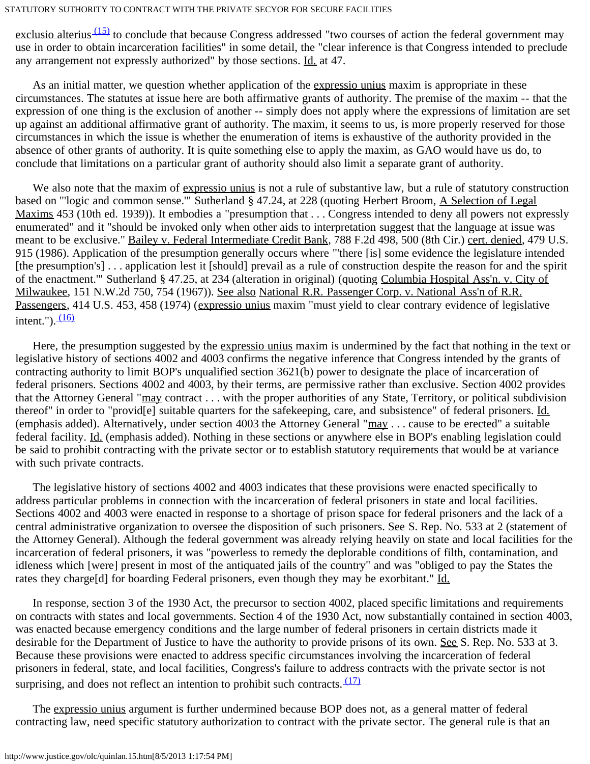exclusio alterius  $(15)$  to conclude that because Congress addressed "two courses of action the federal government may use in order to obtain incarceration facilities" in some detail, the "clear inference is that Congress intended to preclude any arrangement not expressly authorized" by those sections. Id. at 47.

 As an initial matter, we question whether application of the expressio unius maxim is appropriate in these circumstances. The statutes at issue here are both affirmative grants of authority. The premise of the maxim -- that the expression of one thing is the exclusion of another -- simply does not apply where the expressions of limitation are set up against an additional affirmative grant of authority. The maxim, it seems to us, is more properly reserved for those circumstances in which the issue is whether the enumeration of items is exhaustive of the authority provided in the absence of other grants of authority. It is quite something else to apply the maxim, as GAO would have us do, to conclude that limitations on a particular grant of authority should also limit a separate grant of authority.

We also note that the maxim of expressio unius is not a rule of substantive law, but a rule of statutory construction based on "'logic and common sense."' Sutherland § 47.24, at 228 (quoting Herbert Broom, A Selection of Legal Maxims 453 (10th ed. 1939)). It embodies a "presumption that . . . Congress intended to deny all powers not expressly enumerated" and it "should be invoked only when other aids to interpretation suggest that the language at issue was meant to be exclusive." Bailey v. Federal Intermediate Credit Bank, 788 F.2d 498, 500 (8th Cir.) cert. denied, 479 U.S. 915 (1986). Application of the presumption generally occurs where "'there [is] some evidence the legislature intended [the presumption's]... application lest it [should] prevail as a rule of construction despite the reason for and the spirit of the enactment.'" Sutherland § 47.25, at 234 (alteration in original) (quoting Columbia Hospital Ass'n. v. City of Milwaukee, 151 N.W.2d 750, 754 (1967)). See also National R.R. Passenger Corp. v. National Ass'n of R.R. Passengers, 414 U.S. 453, 458 (1974) (expressio unius maxim "must yield to clear contrary evidence of legislative intent.").  $(16)$ 

 Here, the presumption suggested by the expressio unius maxim is undermined by the fact that nothing in the text or legislative history of sections 4002 and 4003 confirms the negative inference that Congress intended by the grants of contracting authority to limit BOP's unqualified section 3621(b) power to designate the place of incarceration of federal prisoners. Sections 4002 and 4003, by their terms, are permissive rather than exclusive. Section 4002 provides that the Attorney General "may contract . . . with the proper authorities of any State, Territory, or political subdivision thereof" in order to "provid[e] suitable quarters for the safekeeping, care, and subsistence" of federal prisoners. Id. (emphasis added). Alternatively, under section 4003 the Attorney General "may . . . cause to be erected" a suitable federal facility. Id. (emphasis added). Nothing in these sections or anywhere else in BOP's enabling legislation could be said to prohibit contracting with the private sector or to establish statutory requirements that would be at variance with such private contracts.

 The legislative history of sections 4002 and 4003 indicates that these provisions were enacted specifically to address particular problems in connection with the incarceration of federal prisoners in state and local facilities. Sections 4002 and 4003 were enacted in response to a shortage of prison space for federal prisoners and the lack of a central administrative organization to oversee the disposition of such prisoners. See S. Rep. No. 533 at 2 (statement of the Attorney General). Although the federal government was already relying heavily on state and local facilities for the incarceration of federal prisoners, it was "powerless to remedy the deplorable conditions of filth, contamination, and idleness which [were] present in most of the antiquated jails of the country" and was "obliged to pay the States the rates they charge[d] for boarding Federal prisoners, even though they may be exorbitant." Id.

 In response, section 3 of the 1930 Act, the precursor to section 4002, placed specific limitations and requirements on contracts with states and local governments. Section 4 of the 1930 Act, now substantially contained in section 4003, was enacted because emergency conditions and the large number of federal prisoners in certain districts made it desirable for the Department of Justice to have the authority to provide prisons of its own. See S. Rep. No. 533 at 3. Because these provisions were enacted to address specific circumstances involving the incarceration of federal prisoners in federal, state, and local facilities, Congress's failure to address contracts with the private sector is not surprising, and does not reflect an intention to prohibit such contracts.  $(17)$ 

 The expressio unius argument is further undermined because BOP does not, as a general matter of federal contracting law, need specific statutory authorization to contract with the private sector. The general rule is that an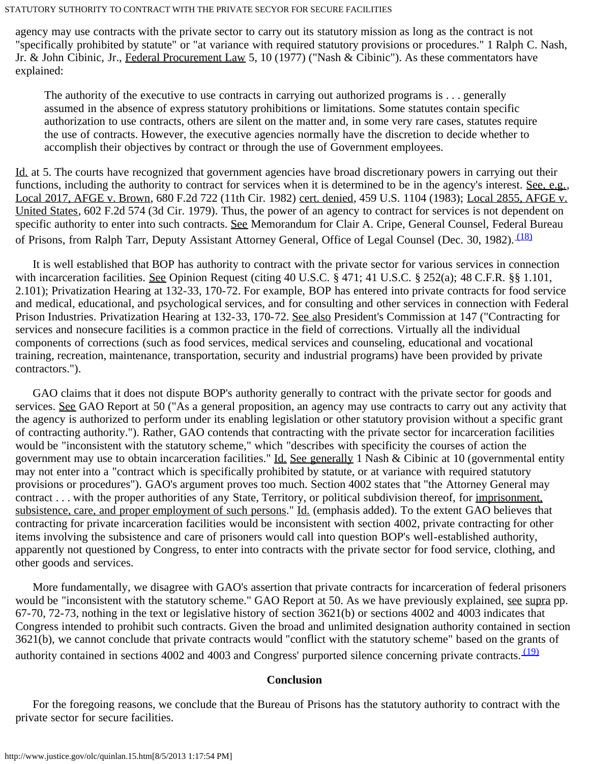agency may use contracts with the private sector to carry out its statutory mission as long as the contract is not "specifically prohibited by statute" or "at variance with required statutory provisions or procedures." 1 Ralph C. Nash, Jr. & John Cibinic, Jr., Federal Procurement Law 5, 10 (1977) ("Nash & Cibinic"). As these commentators have explained:

The authority of the executive to use contracts in carrying out authorized programs is . . . generally assumed in the absence of express statutory prohibitions or limitations. Some statutes contain specific authorization to use contracts, others are silent on the matter and, in some very rare cases, statutes require the use of contracts. However, the executive agencies normally have the discretion to decide whether to accomplish their objectives by contract or through the use of Government employees.

Id. at 5. The courts have recognized that government agencies have broad discretionary powers in carrying out their functions, including the authority to contract for services when it is determined to be in the agency's interest. See, e.g., Local 2017, AFGE v. Brown, 680 F.2d 722 (11th Cir. 1982) cert. denied, 459 U.S. 1104 (1983); Local 2855, AFGE v. United States, 602 F.2d 574 (3d Cir. 1979). Thus, the power of an agency to contract for services is not dependent on specific authority to enter into such contracts. See Memorandum for Clair A. Cripe, General Counsel, Federal Bureau of Prisons, from Ralph Tarr, Deputy Assistant Attorney General, Office of Legal Counsel (Dec. 30, 1982). <sup>(18)</sup>

 It is well established that BOP has authority to contract with the private sector for various services in connection with incarceration facilities. See Opinion Request (citing  $40$  U.S.C.  $\S$  471; 41 U.S.C.  $\S$  252(a); 48 C.F.R.  $\S$  $\S$  1.101, 2.101); Privatization Hearing at 132-33, 170-72. For example, BOP has entered into private contracts for food service and medical, educational, and psychological services, and for consulting and other services in connection with Federal Prison Industries. Privatization Hearing at 132-33, 170-72. See also President's Commission at 147 ("Contracting for services and nonsecure facilities is a common practice in the field of corrections. Virtually all the individual components of corrections (such as food services, medical services and counseling, educational and vocational training, recreation, maintenance, transportation, security and industrial programs) have been provided by private contractors.").

 GAO claims that it does not dispute BOP's authority generally to contract with the private sector for goods and services. See GAO Report at 50 ("As a general proposition, an agency may use contracts to carry out any activity that the agency is authorized to perform under its enabling legislation or other statutory provision without a specific grant of contracting authority."). Rather, GAO contends that contracting with the private sector for incarceration facilities would be "inconsistent with the statutory scheme," which "describes with specificity the courses of action the government may use to obtain incarceration facilities." Id. See generally 1 Nash & Cibinic at 10 (governmental entity may not enter into a "contract which is specifically prohibited by statute, or at variance with required statutory provisions or procedures"). GAO's argument proves too much. Section 4002 states that "the Attorney General may contract . . . with the proper authorities of any State, Territory, or political subdivision thereof, for imprisonment, subsistence, care, and proper employment of such persons." Id. (emphasis added). To the extent GAO believes that contracting for private incarceration facilities would be inconsistent with section 4002, private contracting for other items involving the subsistence and care of prisoners would call into question BOP's well-established authority, apparently not questioned by Congress, to enter into contracts with the private sector for food service, clothing, and other goods and services.

 More fundamentally, we disagree with GAO's assertion that private contracts for incarceration of federal prisoners would be "inconsistent with the statutory scheme." GAO Report at 50. As we have previously explained, see supra pp. 67-70, 72-73, nothing in the text or legislative history of section 3621(b) or sections 4002 and 4003 indicates that Congress intended to prohibit such contracts. Given the broad and unlimited designation authority contained in section 3621(b), we cannot conclude that private contracts would "conflict with the statutory scheme" based on the grants of authority contained in sections 4002 and 4003 and Congress' purported silence concerning private contracts. [\(19\)](#page-7-5)

### **Conclusion**

 For the foregoing reasons, we conclude that the Bureau of Prisons has the statutory authority to contract with the private sector for secure facilities.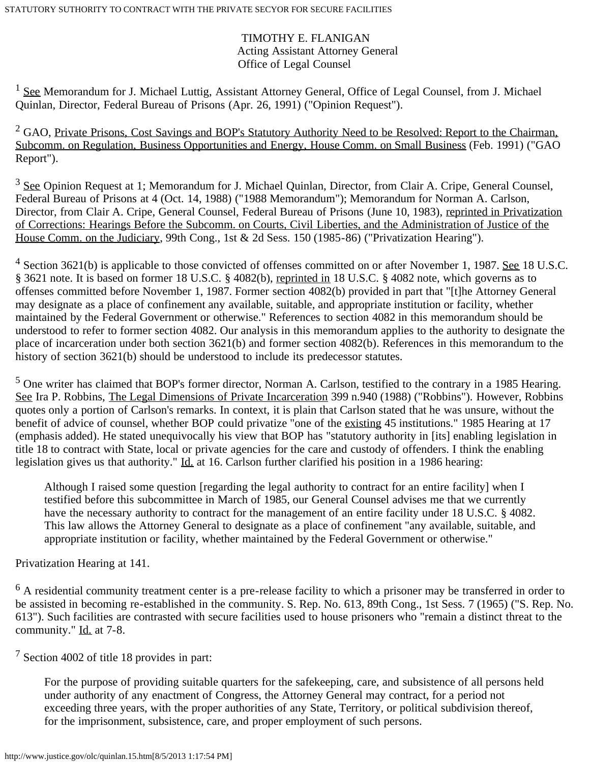# TIMOTHY E. FLANIGAN Acting Assistant Attorney General Office of Legal Counsel

<span id="page-5-0"></span><sup>1</sup> See Memorandum for J. Michael Luttig, Assistant Attorney General, Office of Legal Counsel, from J. Michael Quinlan, Director, Federal Bureau of Prisons (Apr. 26, 1991) ("Opinion Request").

<span id="page-5-1"></span><sup>2</sup> GAO, Private Prisons, Cost Savings and BOP's Statutory Authority Need to be Resolved: Report to the Chairman, Subcomm. on Regulation, Business Opportunities and Energy, House Comm. on Small Business (Feb. 1991) ("GAO Report").

<span id="page-5-2"></span><sup>3</sup> See Opinion Request at 1; Memorandum for J. Michael Quinlan, Director, from Clair A. Cripe, General Counsel, Federal Bureau of Prisons at 4 (Oct. 14, 1988) ("1988 Memorandum"); Memorandum for Norman A. Carlson, Director, from Clair A. Cripe, General Counsel, Federal Bureau of Prisons (June 10, 1983), reprinted in Privatization of Corrections: Hearings Before the Subcomm. on Courts, Civil Liberties, and the Administration of Justice of the House Comm. on the Judiciary, 99th Cong., 1st & 2d Sess. 150 (1985-86) ("Privatization Hearing").

<span id="page-5-3"></span> $4$  Section 3621(b) is applicable to those convicted of offenses committed on or after November 1, 1987. See 18 U.S.C. § 3621 note. It is based on former 18 U.S.C. § 4082(b), reprinted in 18 U.S.C. § 4082 note, which governs as to offenses committed before November 1, 1987. Former section 4082(b) provided in part that "[t]he Attorney General may designate as a place of confinement any available, suitable, and appropriate institution or facility, whether maintained by the Federal Government or otherwise." References to section 4082 in this memorandum should be understood to refer to former section 4082. Our analysis in this memorandum applies to the authority to designate the place of incarceration under both section 3621(b) and former section 4082(b). References in this memorandum to the history of section 3621(b) should be understood to include its predecessor statutes.

<span id="page-5-4"></span> $<sup>5</sup>$  One writer has claimed that BOP's former director, Norman A. Carlson, testified to the contrary in a 1985 Hearing.</sup> See Ira P. Robbins, The Legal Dimensions of Private Incarceration 399 n.940 (1988) ("Robbins"). However, Robbins quotes only a portion of Carlson's remarks. In context, it is plain that Carlson stated that he was unsure, without the benefit of advice of counsel, whether BOP could privatize "one of the existing 45 institutions." 1985 Hearing at 17 (emphasis added). He stated unequivocally his view that BOP has "statutory authority in [its] enabling legislation in title 18 to contract with State, local or private agencies for the care and custody of offenders. I think the enabling legislation gives us that authority." Id. at 16. Carlson further clarified his position in a 1986 hearing:

Although I raised some question [regarding the legal authority to contract for an entire facility] when I testified before this subcommittee in March of 1985, our General Counsel advises me that we currently have the necessary authority to contract for the management of an entire facility under 18 U.S.C. § 4082. This law allows the Attorney General to designate as a place of confinement "any available, suitable, and appropriate institution or facility, whether maintained by the Federal Government or otherwise."

Privatization Hearing at 141.

<span id="page-5-5"></span> $<sup>6</sup>$  A residential community treatment center is a pre-release facility to which a prisoner may be transferred in order to</sup> be assisted in becoming re-established in the community. S. Rep. No. 613, 89th Cong., 1st Sess. 7 (1965) ("S. Rep. No. 613"). Such facilities are contrasted with secure facilities used to house prisoners who "remain a distinct threat to the community." Id. at 7-8.

<span id="page-5-6"></span><sup>7</sup> Section 4002 of title 18 provides in part:

For the purpose of providing suitable quarters for the safekeeping, care, and subsistence of all persons held under authority of any enactment of Congress, the Attorney General may contract, for a period not exceeding three years, with the proper authorities of any State, Territory, or political subdivision thereof, for the imprisonment, subsistence, care, and proper employment of such persons.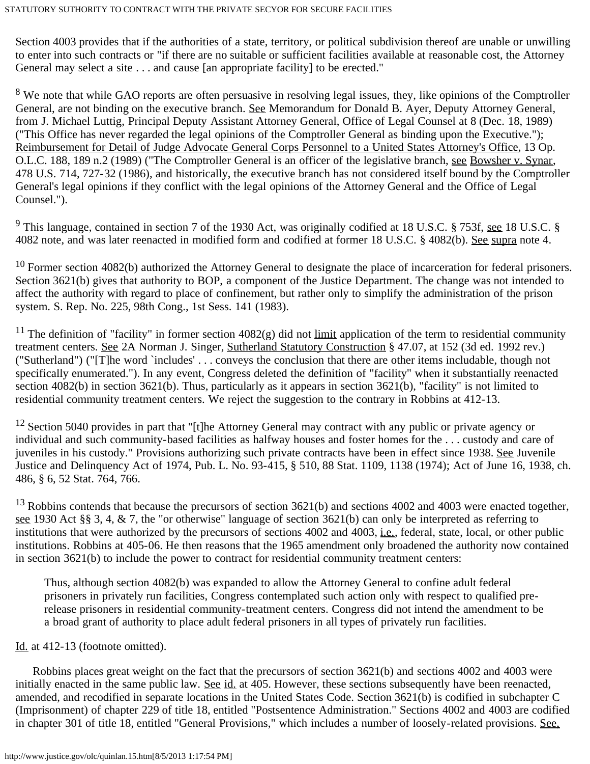Section 4003 provides that if the authorities of a state, territory, or political subdivision thereof are unable or unwilling to enter into such contracts or "if there are no suitable or sufficient facilities available at reasonable cost, the Attorney General may select a site . . . and cause [an appropriate facility] to be erected."

<span id="page-6-0"></span><sup>8</sup> We note that while GAO reports are often persuasive in resolving legal issues, they, like opinions of the Comptroller General, are not binding on the executive branch. See Memorandum for Donald B. Ayer, Deputy Attorney General, from J. Michael Luttig, Principal Deputy Assistant Attorney General, Office of Legal Counsel at 8 (Dec. 18, 1989) ("This Office has never regarded the legal opinions of the Comptroller General as binding upon the Executive."); Reimbursement for Detail of Judge Advocate General Corps Personnel to a United States Attorney's Office, 13 Op. O.L.C. 188, 189 n.2 (1989) ("The Comptroller General is an officer of the legislative branch, see Bowsher v. Synar, 478 U.S. 714, 727-32 (1986), and historically, the executive branch has not considered itself bound by the Comptroller General's legal opinions if they conflict with the legal opinions of the Attorney General and the Office of Legal Counsel.").

<span id="page-6-1"></span><sup>9</sup> This language, contained in section 7 of the 1930 Act, was originally codified at 18 U.S.C. § 753f, <u>see</u> 18 U.S.C. § 4082 note, and was later reenacted in modified form and codified at former 18 U.S.C. § 4082(b). See supra note 4.

<span id="page-6-2"></span> $10$  Former section 4082(b) authorized the Attorney General to designate the place of incarceration for federal prisoners. Section 3621(b) gives that authority to BOP, a component of the Justice Department. The change was not intended to affect the authority with regard to place of confinement, but rather only to simplify the administration of the prison system. S. Rep. No. 225, 98th Cong., 1st Sess. 141 (1983).

<span id="page-6-3"></span><sup>11</sup> The definition of "facility" in former section  $4082(g)$  did not limit application of the term to residential community treatment centers. See 2A Norman J. Singer, Sutherland Statutory Construction § 47.07, at 152 (3d ed. 1992 rev.) ("Sutherland") ("[T]he word `includes' . . . conveys the conclusion that there are other items includable, though not specifically enumerated."). In any event, Congress deleted the definition of "facility" when it substantially reenacted section 4082(b) in section 3621(b). Thus, particularly as it appears in section 3621(b), "facility" is not limited to residential community treatment centers. We reject the suggestion to the contrary in Robbins at 412-13.

<span id="page-6-4"></span> $12$  Section 5040 provides in part that "[t]he Attorney General may contract with any public or private agency or individual and such community-based facilities as halfway houses and foster homes for the . . . custody and care of juveniles in his custody." Provisions authorizing such private contracts have been in effect since 1938. See Juvenile Justice and Delinquency Act of 1974, Pub. L. No. 93-415, § 510, 88 Stat. 1109, 1138 (1974); Act of June 16, 1938, ch. 486, § 6, 52 Stat. 764, 766.

<span id="page-6-5"></span><sup>13</sup> Robbins contends that because the precursors of section 3621(b) and sections 4002 and 4003 were enacted together, see 1930 Act §§ 3, 4, & 7, the "or otherwise" language of section  $3621(b)$  can only be interpreted as referring to institutions that were authorized by the precursors of sections 4002 and 4003, i.e., federal, state, local, or other public institutions. Robbins at 405-06. He then reasons that the 1965 amendment only broadened the authority now contained in section 3621(b) to include the power to contract for residential community treatment centers:

Thus, although section 4082(b) was expanded to allow the Attorney General to confine adult federal prisoners in privately run facilities, Congress contemplated such action only with respect to qualified prerelease prisoners in residential community-treatment centers. Congress did not intend the amendment to be a broad grant of authority to place adult federal prisoners in all types of privately run facilities.

## Id. at 412-13 (footnote omitted).

 Robbins places great weight on the fact that the precursors of section 3621(b) and sections 4002 and 4003 were initially enacted in the same public law. See id. at 405. However, these sections subsequently have been reenacted, amended, and recodified in separate locations in the United States Code. Section 3621(b) is codified in subchapter C (Imprisonment) of chapter 229 of title 18, entitled "Postsentence Administration." Sections 4002 and 4003 are codified in chapter 301 of title 18, entitled "General Provisions," which includes a number of loosely-related provisions. See,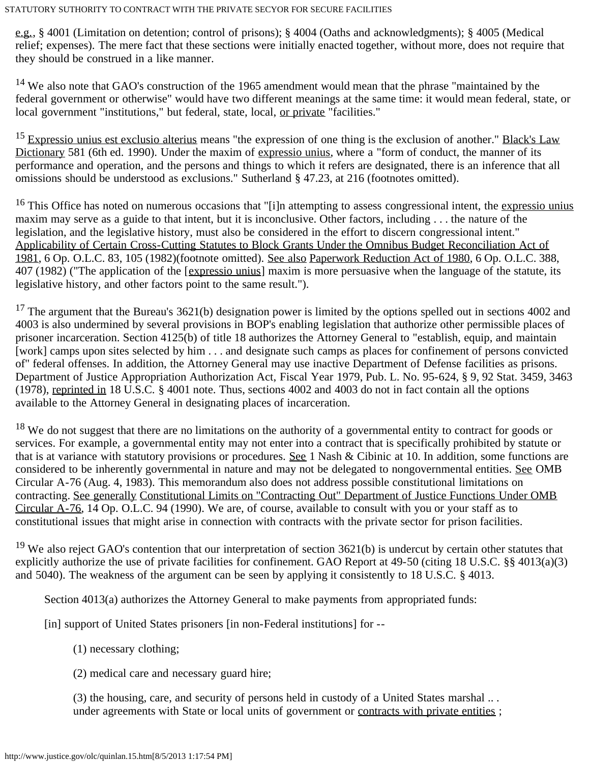e.g., § 4001 (Limitation on detention; control of prisons); § 4004 (Oaths and acknowledgments); § 4005 (Medical relief; expenses). The mere fact that these sections were initially enacted together, without more, does not require that they should be construed in a like manner.

<span id="page-7-0"></span><sup>14</sup> We also note that GAO's construction of the 1965 amendment would mean that the phrase "maintained by the federal government or otherwise" would have two different meanings at the same time: it would mean federal, state, or local government "institutions," but federal, state, local, <u>or private</u> "facilities."

<span id="page-7-1"></span><sup>15</sup> Expressio unius est exclusio alterius means "the expression of one thing is the exclusion of another." Black's Law Dictionary 581 (6th ed. 1990). Under the maxim of expressio unius, where a "form of conduct, the manner of its performance and operation, and the persons and things to which it refers are designated, there is an inference that all omissions should be understood as exclusions." Sutherland § 47.23, at 216 (footnotes omitted).

<span id="page-7-2"></span> $16$  This Office has noted on numerous occasions that "[i]n attempting to assess congressional intent, the expressio unius maxim may serve as a guide to that intent, but it is inconclusive. Other factors, including . . . the nature of the legislation, and the legislative history, must also be considered in the effort to discern congressional intent." Applicability of Certain Cross-Cutting Statutes to Block Grants Under the Omnibus Budget Reconciliation Act of 1981, 6 Op. O.L.C. 83, 105 (1982)(footnote omitted). See also Paperwork Reduction Act of 1980, 6 Op. O.L.C. 388, 407 (1982) ("The application of the [expressio unius] maxim is more persuasive when the language of the statute, its legislative history, and other factors point to the same result.").

<span id="page-7-3"></span> $17$  The argument that the Bureau's 3621(b) designation power is limited by the options spelled out in sections 4002 and 4003 is also undermined by several provisions in BOP's enabling legislation that authorize other permissible places of prisoner incarceration. Section 4125(b) of title 18 authorizes the Attorney General to "establish, equip, and maintain [work] camps upon sites selected by him . . . and designate such camps as places for confinement of persons convicted of" federal offenses. In addition, the Attorney General may use inactive Department of Defense facilities as prisons. Department of Justice Appropriation Authorization Act, Fiscal Year 1979, Pub. L. No. 95-624, § 9, 92 Stat. 3459, 3463 (1978), reprinted in 18 U.S.C. § 4001 note. Thus, sections 4002 and 4003 do not in fact contain all the options available to the Attorney General in designating places of incarceration.

<span id="page-7-4"></span><sup>18</sup> We do not suggest that there are no limitations on the authority of a governmental entity to contract for goods or services. For example, a governmental entity may not enter into a contract that is specifically prohibited by statute or that is at variance with statutory provisions or procedures. See 1 Nash & Cibinic at 10. In addition, some functions are considered to be inherently governmental in nature and may not be delegated to nongovernmental entities. See OMB Circular A-76 (Aug. 4, 1983). This memorandum also does not address possible constitutional limitations on contracting. See generally Constitutional Limits on "Contracting Out" Department of Justice Functions Under OMB Circular A-76, 14 Op. O.L.C. 94 (1990). We are, of course, available to consult with you or your staff as to constitutional issues that might arise in connection with contracts with the private sector for prison facilities.

<span id="page-7-5"></span><sup>19</sup> We also reject GAO's contention that our interpretation of section  $3621(b)$  is undercut by certain other statutes that explicitly authorize the use of private facilities for confinement. GAO Report at 49-50 (citing 18 U.S.C. §§ 4013(a)(3) and 5040). The weakness of the argument can be seen by applying it consistently to 18 U.S.C. § 4013.

Section 4013(a) authorizes the Attorney General to make payments from appropriated funds:

[in] support of United States prisoners [in non-Federal institutions] for --

(1) necessary clothing;

(2) medical care and necessary guard hire;

(3) the housing, care, and security of persons held in custody of a United States marshal .. . under agreements with State or local units of government or contracts with private entities ;